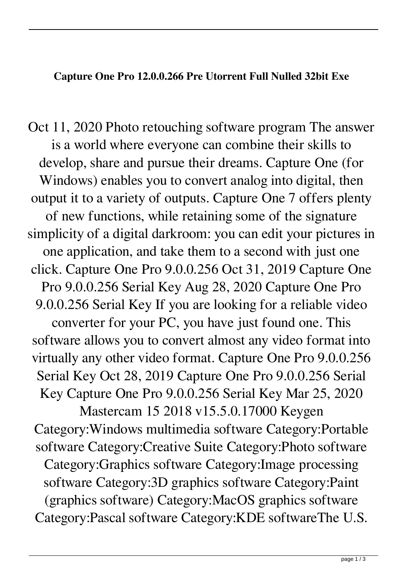**Capture One Pro 12.0.0.266 Pre Utorrent Full Nulled 32bit Exe**

Oct 11, 2020 Photo retouching software program The answer is a world where everyone can combine their skills to develop, share and pursue their dreams. Capture One (for Windows) enables you to convert analog into digital, then output it to a variety of outputs. Capture One 7 offers plenty of new functions, while retaining some of the signature simplicity of a digital darkroom: you can edit your pictures in one application, and take them to a second with just one click. Capture One Pro 9.0.0.256 Oct 31, 2019 Capture One Pro 9.0.0.256 Serial Key Aug 28, 2020 Capture One Pro 9.0.0.256 Serial Key If you are looking for a reliable video converter for your PC, you have just found one. This software allows you to convert almost any video format into virtually any other video format. Capture One Pro 9.0.0.256 Serial Key Oct 28, 2019 Capture One Pro 9.0.0.256 Serial Key Capture One Pro 9.0.0.256 Serial Key Mar 25, 2020 Mastercam 15 2018 v15.5.0.17000 Keygen Category:Windows multimedia software Category:Portable software Category:Creative Suite Category:Photo software Category:Graphics software Category:Image processing software Category:3D graphics software Category:Paint (graphics software) Category:MacOS graphics software Category:Pascal software Category:KDE softwareThe U.S.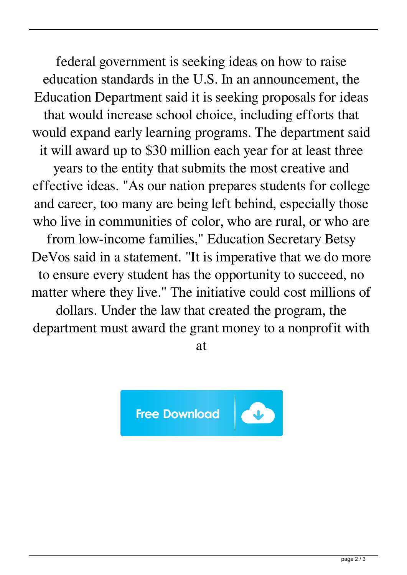federal government is seeking ideas on how to raise education standards in the U.S. In an announcement, the Education Department said it is seeking proposals for ideas that would increase school choice, including efforts that would expand early learning programs. The department said it will award up to \$30 million each year for at least three years to the entity that submits the most creative and effective ideas. "As our nation prepares students for college and career, too many are being left behind, especially those who live in communities of color, who are rural, or who are from low-income families," Education Secretary Betsy

DeVos said in a statement. "It is imperative that we do more to ensure every student has the opportunity to succeed, no matter where they live." The initiative could cost millions of

dollars. Under the law that created the program, the department must award the grant money to a nonprofit with

at